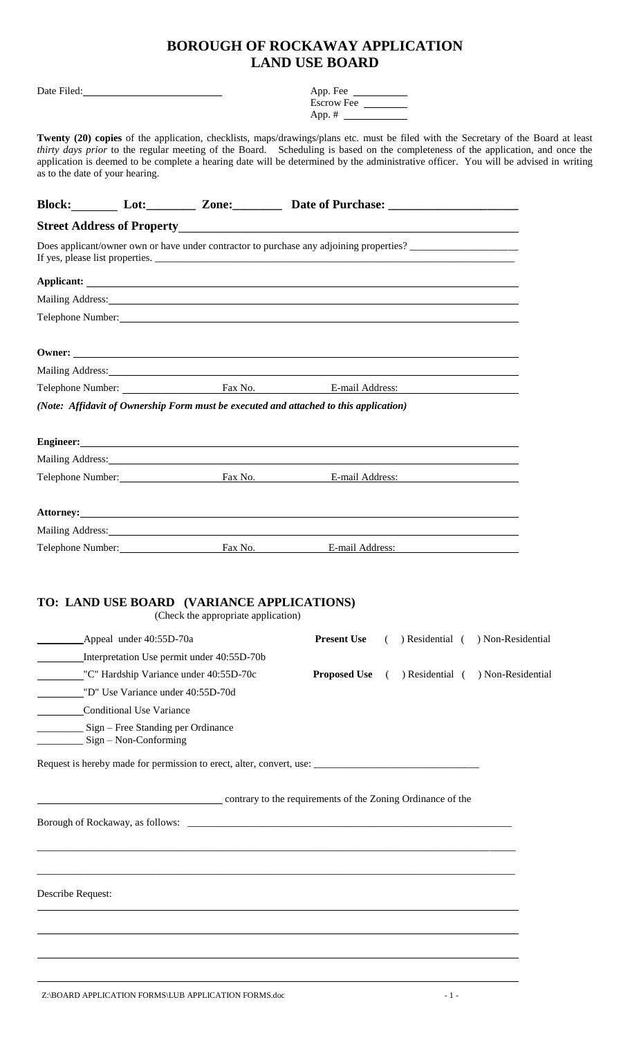# **BOROUGH OF ROCKAWAY APPLICATION LAND USE BOARD**

|                                 |                                                               |                                                                                                                                                                                                                                                                                                                                                                                                               | App. Fee $\_\_\_\_\_\_\_\_\_\_\_\_$ |            |                                   |  |
|---------------------------------|---------------------------------------------------------------|---------------------------------------------------------------------------------------------------------------------------------------------------------------------------------------------------------------------------------------------------------------------------------------------------------------------------------------------------------------------------------------------------------------|-------------------------------------|------------|-----------------------------------|--|
|                                 |                                                               |                                                                                                                                                                                                                                                                                                                                                                                                               | Escrow Fee<br>App. $\#$             |            |                                   |  |
| as to the date of your hearing. |                                                               | Twenty (20) copies of the application, checklists, maps/drawings/plans etc. must be filed with the Secretary of the Board at least<br>thirty days prior to the regular meeting of the Board. Scheduling is based on the completeness of the application, and once the<br>application is deemed to be complete a hearing date will be determined by the administrative officer. You will be advised in writing |                                     |            |                                   |  |
|                                 |                                                               |                                                                                                                                                                                                                                                                                                                                                                                                               |                                     |            |                                   |  |
|                                 |                                                               |                                                                                                                                                                                                                                                                                                                                                                                                               |                                     |            |                                   |  |
|                                 |                                                               | Does applicant/owner own or have under contractor to purchase any adjoining properties?<br>If yes, please list properties.                                                                                                                                                                                                                                                                                    |                                     |            |                                   |  |
|                                 |                                                               |                                                                                                                                                                                                                                                                                                                                                                                                               |                                     |            |                                   |  |
|                                 |                                                               | Mailing Address: National Address: National Address: National Address: National Address: National Address: National Address: National Address: National Address: National Address: National Address: National Address: Nationa                                                                                                                                                                                |                                     |            |                                   |  |
|                                 |                                                               | Telephone Number:                                                                                                                                                                                                                                                                                                                                                                                             |                                     |            |                                   |  |
|                                 |                                                               |                                                                                                                                                                                                                                                                                                                                                                                                               |                                     |            |                                   |  |
|                                 |                                                               | Mailing Address: National Address: National Address: National Address: National Address: National Address: National Address: National Address: National Address: National Address: National Address: National Address: Nationa                                                                                                                                                                                |                                     |            |                                   |  |
|                                 |                                                               | (Note: Affidavit of Ownership Form must be executed and attached to this application)                                                                                                                                                                                                                                                                                                                         |                                     |            |                                   |  |
|                                 |                                                               |                                                                                                                                                                                                                                                                                                                                                                                                               |                                     |            |                                   |  |
|                                 |                                                               | Engineer: No. 2016. The Commission of the Commission of the Commission of the Commission of the Commission of the Commission of the Commission of the Commission of the Commission of the Commission of the Commission of the                                                                                                                                                                                 |                                     |            |                                   |  |
|                                 |                                                               | Mailing Address: National Address: National Address: National Address: National Address: National Address: National Address: National Address: National Address: National Address: National Address: National Address: Nationa                                                                                                                                                                                |                                     |            |                                   |  |
|                                 |                                                               | Telephone Number: Fax No. E-mail Address:                                                                                                                                                                                                                                                                                                                                                                     |                                     |            |                                   |  |
|                                 |                                                               | Attorney: Note that the contract of the contract of the contract of the contract of the contract of the contract of the contract of the contract of the contract of the contract of the contract of the contract of the contra                                                                                                                                                                                |                                     |            |                                   |  |
| Mailing Address:                |                                                               |                                                                                                                                                                                                                                                                                                                                                                                                               |                                     |            |                                   |  |
|                                 |                                                               | Telephone Number: Fax No.                                                                                                                                                                                                                                                                                                                                                                                     | E-mail Address:                     |            |                                   |  |
|                                 |                                                               | TO: LAND USE BOARD (VARIANCE APPLICATIONS)<br>(Check the appropriate application)                                                                                                                                                                                                                                                                                                                             |                                     |            |                                   |  |
|                                 | Appeal under 40:55D-70a                                       |                                                                                                                                                                                                                                                                                                                                                                                                               | <b>Present Use</b>                  |            | ) Residential ( ) Non-Residential |  |
|                                 |                                                               | Interpretation Use permit under 40:55D-70b<br>"C" Hardship Variance under 40:55D-70c                                                                                                                                                                                                                                                                                                                          | <b>Proposed Use</b>                 |            | ) Residential ( ) Non-Residential |  |
|                                 | "D" Use Variance under 40:55D-70d                             |                                                                                                                                                                                                                                                                                                                                                                                                               |                                     | $\sqrt{2}$ |                                   |  |
|                                 | <b>Conditional Use Variance</b>                               |                                                                                                                                                                                                                                                                                                                                                                                                               |                                     |            |                                   |  |
|                                 | Sign – Free Standing per Ordinance<br>$Sign - Non-Conforming$ |                                                                                                                                                                                                                                                                                                                                                                                                               |                                     |            |                                   |  |
|                                 |                                                               |                                                                                                                                                                                                                                                                                                                                                                                                               |                                     |            |                                   |  |
|                                 |                                                               | contrary to the requirements of the Zoning Ordinance of the                                                                                                                                                                                                                                                                                                                                                   |                                     |            |                                   |  |
|                                 |                                                               |                                                                                                                                                                                                                                                                                                                                                                                                               |                                     |            |                                   |  |
|                                 |                                                               |                                                                                                                                                                                                                                                                                                                                                                                                               |                                     |            |                                   |  |
| Describe Request:               |                                                               |                                                                                                                                                                                                                                                                                                                                                                                                               |                                     |            |                                   |  |
|                                 |                                                               |                                                                                                                                                                                                                                                                                                                                                                                                               |                                     |            |                                   |  |
|                                 |                                                               |                                                                                                                                                                                                                                                                                                                                                                                                               |                                     |            |                                   |  |
|                                 |                                                               |                                                                                                                                                                                                                                                                                                                                                                                                               |                                     |            |                                   |  |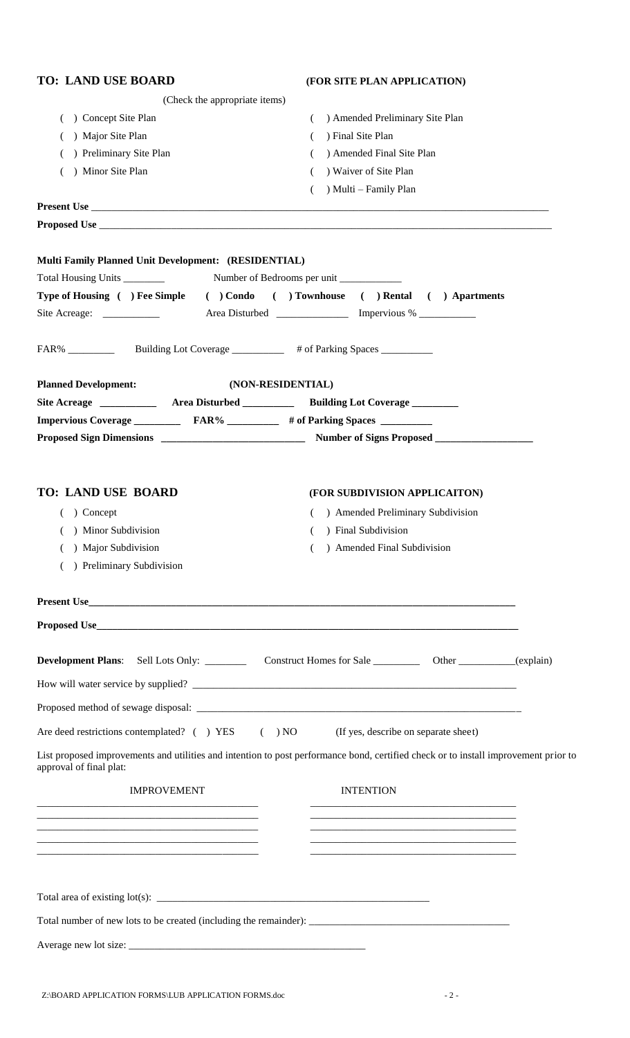| <b>TO: LAND USE BOARD</b>                                                                 | (FOR SITE PLAN APPLICATION)                                                                                                         |
|-------------------------------------------------------------------------------------------|-------------------------------------------------------------------------------------------------------------------------------------|
| (Check the appropriate items)                                                             |                                                                                                                                     |
| ) Concept Site Plan                                                                       | ) Amended Preliminary Site Plan<br>(                                                                                                |
| ) Major Site Plan                                                                         | ) Final Site Plan                                                                                                                   |
| ) Preliminary Site Plan                                                                   | ) Amended Final Site Plan                                                                                                           |
| ) Minor Site Plan                                                                         | ) Waiver of Site Plan                                                                                                               |
|                                                                                           | ) Multi - Family Plan<br>(                                                                                                          |
|                                                                                           |                                                                                                                                     |
|                                                                                           |                                                                                                                                     |
|                                                                                           |                                                                                                                                     |
| <b>Multi Family Planned Unit Development: (RESIDENTIAL)</b>                               |                                                                                                                                     |
|                                                                                           |                                                                                                                                     |
|                                                                                           | Type of Housing ( ) Fee Simple ( ) Condo ( ) Townhouse ( ) Rental ( ) Apartments                                                    |
| Site Acreage: ________________ Area Disturbed ________________ Impervious % ___________   |                                                                                                                                     |
|                                                                                           |                                                                                                                                     |
|                                                                                           |                                                                                                                                     |
|                                                                                           |                                                                                                                                     |
| <b>Planned Development:</b>                                                               | (NON-RESIDENTIAL)                                                                                                                   |
| Site Acreage _______________ Area Disturbed _____________ Building Lot Coverage _________ |                                                                                                                                     |
| Impervious Coverage ___________ FAR% __________ # of Parking Spaces ________              |                                                                                                                                     |
|                                                                                           |                                                                                                                                     |
|                                                                                           |                                                                                                                                     |
|                                                                                           |                                                                                                                                     |
| <b>TO: LAND USE BOARD</b>                                                                 | (FOR SUBDIVISION APPLICAITON)                                                                                                       |
| $( )$ Concept                                                                             | ) Amended Preliminary Subdivision                                                                                                   |
| ( ) Minor Subdivision                                                                     | ) Final Subdivision<br>€                                                                                                            |
| ) Major Subdivision                                                                       | ) Amended Final Subdivision                                                                                                         |
| ) Preliminary Subdivision                                                                 |                                                                                                                                     |
|                                                                                           |                                                                                                                                     |
|                                                                                           | Present Use                                                                                                                         |
|                                                                                           |                                                                                                                                     |
|                                                                                           |                                                                                                                                     |
|                                                                                           | <b>Development Plans:</b> Sell Lots Only: ____________ Construct Homes for Sale _____________ Other ___________(explain)            |
|                                                                                           |                                                                                                                                     |
|                                                                                           |                                                                                                                                     |
|                                                                                           |                                                                                                                                     |
| Are deed restrictions contemplated? ( ) YES ( ) NO (If yes, describe on separate sheet)   |                                                                                                                                     |
| approval of final plat:                                                                   | List proposed improvements and utilities and intention to post performance bond, certified check or to install improvement prior to |
| <b>IMPROVEMENT</b>                                                                        | <b>INTENTION</b>                                                                                                                    |
|                                                                                           |                                                                                                                                     |
|                                                                                           |                                                                                                                                     |
|                                                                                           |                                                                                                                                     |
|                                                                                           |                                                                                                                                     |
|                                                                                           |                                                                                                                                     |
|                                                                                           |                                                                                                                                     |
|                                                                                           |                                                                                                                                     |
|                                                                                           |                                                                                                                                     |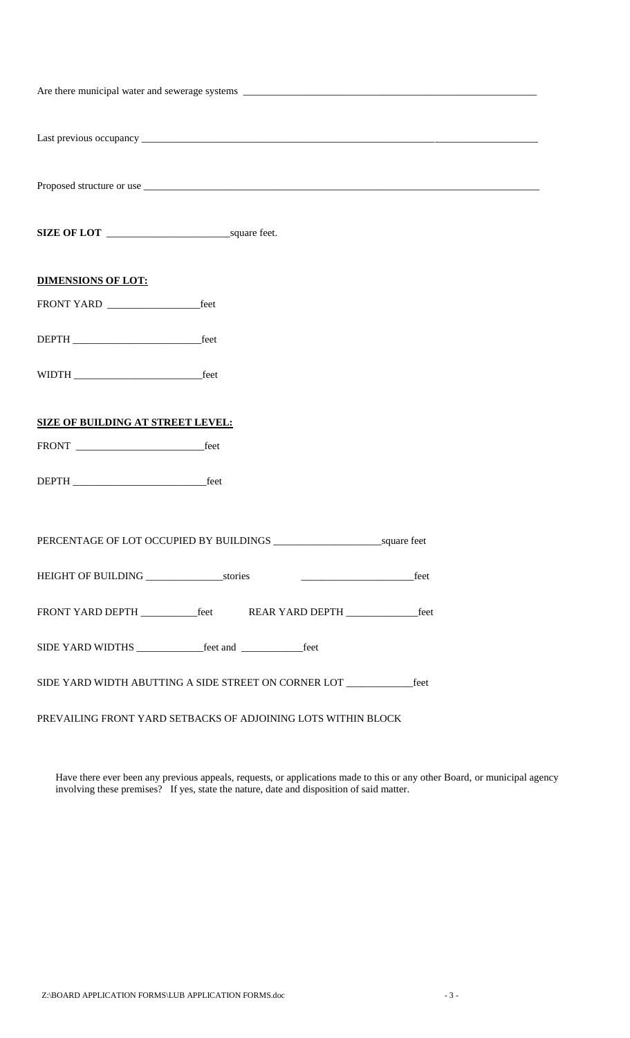| <b>DIMENSIONS OF LOT:</b>                                                  |                                            |      |  |  |
|----------------------------------------------------------------------------|--------------------------------------------|------|--|--|
|                                                                            |                                            |      |  |  |
|                                                                            |                                            |      |  |  |
|                                                                            |                                            |      |  |  |
| <b>SIZE OF BUILDING AT STREET LEVEL:</b>                                   |                                            |      |  |  |
|                                                                            |                                            |      |  |  |
|                                                                            |                                            |      |  |  |
|                                                                            |                                            |      |  |  |
|                                                                            | <u> 2001 - Januar Alexander (h. 1878).</u> | feet |  |  |
| FRONT YARD DEPTH _____________feet REAR YARD DEPTH ___________________feet |                                            |      |  |  |
|                                                                            |                                            |      |  |  |
| SIDE YARD WIDTH ABUTTING A SIDE STREET ON CORNER LOT<br>feet               |                                            |      |  |  |
| PREVAILING FRONT YARD SETBACKS OF ADJOINING LOTS WITHIN BLOCK              |                                            |      |  |  |

Have there ever been any previous appeals, requests, or applications made to this or any other Board, or municipal agency involving these premises? If yes, state the nature, date and disposition of said matter.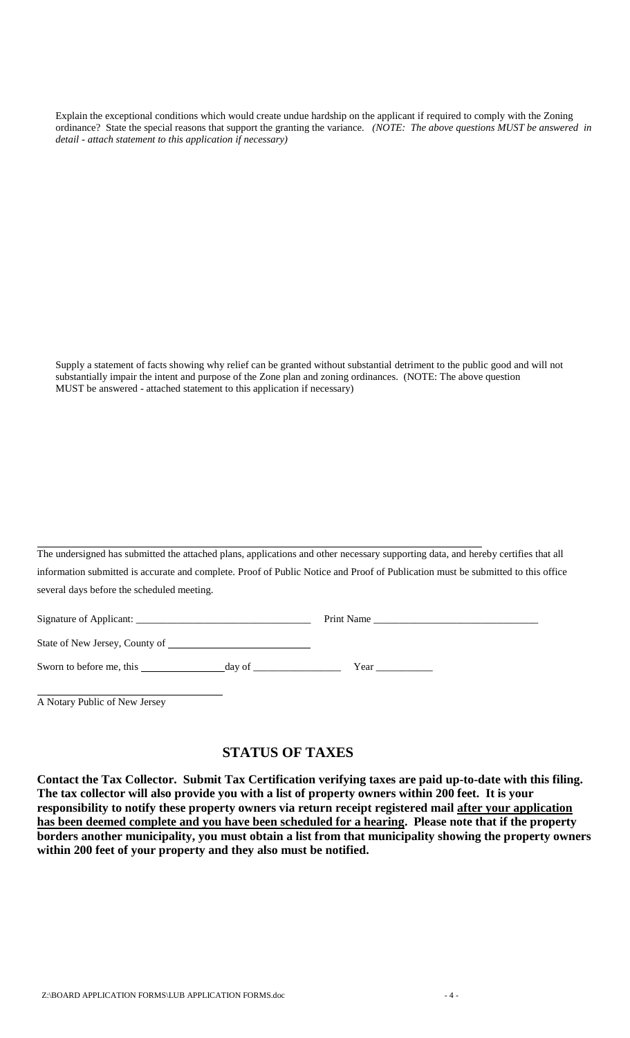Explain the exceptional conditions which would create undue hardship on the applicant if required to comply with the Zoning ordinance? State the special reasons that support the granting the variance*. (NOTE: The above questions MUST be answered in detail - attach statement to this application if necessary)*

Supply a statement of facts showing why relief can be granted without substantial detriment to the public good and will not substantially impair the intent and purpose of the Zone plan and zoning ordinances. (NOTE: The above question MUST be answered - attached statement to this application if necessary)

The undersigned has submitted the attached plans, applications and other necessary supporting data, and hereby certifies that all information submitted is accurate and complete. Proof of Public Notice and Proof of Publication must be submitted to this office several days before the scheduled meeting.

| Signature of Applicant:        | Print Name |      |
|--------------------------------|------------|------|
| State of New Jersey, County of |            |      |
| Sworn to before me, this       | day of     | Year |

A Notary Public of New Jersey

# **STATUS OF TAXES**

**Contact the Tax Collector. Submit Tax Certification verifying taxes are paid up-to-date with this filing. The tax collector will also provide you with a list of property owners within 200 feet. It is your responsibility to notify these property owners via return receipt registered mail after your application has been deemed complete and you have been scheduled for a hearing. Please note that if the property borders another municipality, you must obtain a list from that municipality showing the property owners within 200 feet of your property and they also must be notified.**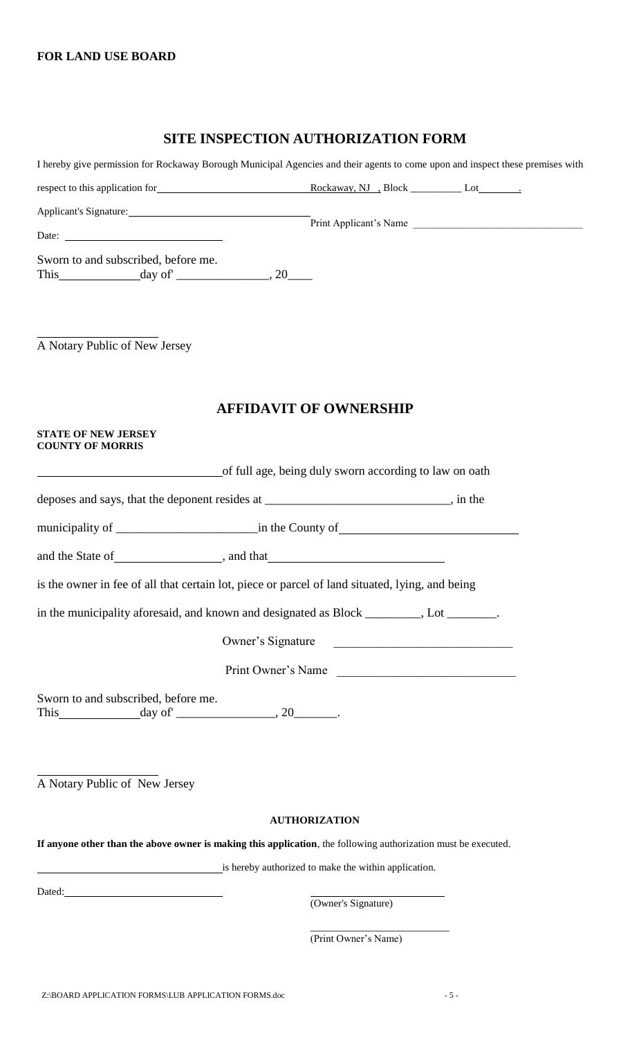#### **SITE INSPECTION AUTHORIZATION FORM**

| I hereby give permission for Rockaway Borough Municipal Agencies and their agents to come upon and inspect these premises with |                                                        |                                                                                                                                                                                                                                      |                        |
|--------------------------------------------------------------------------------------------------------------------------------|--------------------------------------------------------|--------------------------------------------------------------------------------------------------------------------------------------------------------------------------------------------------------------------------------------|------------------------|
|                                                                                                                                |                                                        |                                                                                                                                                                                                                                      |                        |
| Applicant's Signature:                                                                                                         |                                                        |                                                                                                                                                                                                                                      |                        |
| Date:                                                                                                                          |                                                        |                                                                                                                                                                                                                                      | Print Applicant's Name |
| Sworn to and subscribed, before me.<br>This $\_\_\_\_\_$ day of $\_\_\_\_\_\_$ , 20 $\_\_\_\_\_$                               |                                                        |                                                                                                                                                                                                                                      |                        |
|                                                                                                                                |                                                        |                                                                                                                                                                                                                                      |                        |
| A Notary Public of New Jersey                                                                                                  |                                                        |                                                                                                                                                                                                                                      |                        |
|                                                                                                                                | <b>AFFIDAVIT OF OWNERSHIP</b>                          |                                                                                                                                                                                                                                      |                        |
| <b>STATE OF NEW JERSEY</b><br><b>COUNTY OF MORRIS</b>                                                                          |                                                        |                                                                                                                                                                                                                                      |                        |
|                                                                                                                                | of full age, being duly sworn according to law on oath |                                                                                                                                                                                                                                      |                        |
| deposes and says, that the deponent resides at _______________________________, in the                                         |                                                        |                                                                                                                                                                                                                                      |                        |
|                                                                                                                                |                                                        |                                                                                                                                                                                                                                      |                        |
|                                                                                                                                |                                                        |                                                                                                                                                                                                                                      |                        |
| is the owner in fee of all that certain lot, piece or parcel of land situated, lying, and being                                |                                                        |                                                                                                                                                                                                                                      |                        |
| in the municipality aforesaid, and known and designated as Block ________, Lot _______.                                        |                                                        |                                                                                                                                                                                                                                      |                        |
|                                                                                                                                | Owner's Signature                                      | <u> 1989 - Johann Harry Harry Harry Harry Harry Harry Harry Harry Harry Harry Harry Harry Harry Harry Harry Harry Harry Harry Harry Harry Harry Harry Harry Harry Harry Harry Harry Harry Harry Harry Harry Harry Harry Harry Ha</u> |                        |
|                                                                                                                                | Print Owner's Name                                     |                                                                                                                                                                                                                                      |                        |
| Sworn to and subscribed, before me.<br>This $\qquad \qquad \text{day of} \qquad \qquad 20 \qquad \qquad$                       |                                                        |                                                                                                                                                                                                                                      |                        |
| A Notary Public of New Jersey                                                                                                  |                                                        |                                                                                                                                                                                                                                      |                        |
|                                                                                                                                |                                                        |                                                                                                                                                                                                                                      |                        |
|                                                                                                                                | <b>AUTHORIZATION</b>                                   |                                                                                                                                                                                                                                      |                        |
| If anyone other than the above owner is making this application, the following authorization must be executed.                 |                                                        |                                                                                                                                                                                                                                      |                        |
| is hereby authorized to make the within application.                                                                           |                                                        |                                                                                                                                                                                                                                      |                        |
|                                                                                                                                |                                                        | (Owner's Signature)                                                                                                                                                                                                                  |                        |

\_\_\_\_\_\_\_\_\_\_\_\_\_\_\_\_\_\_\_\_\_\_\_\_\_\_\_ (Print Owner's Name)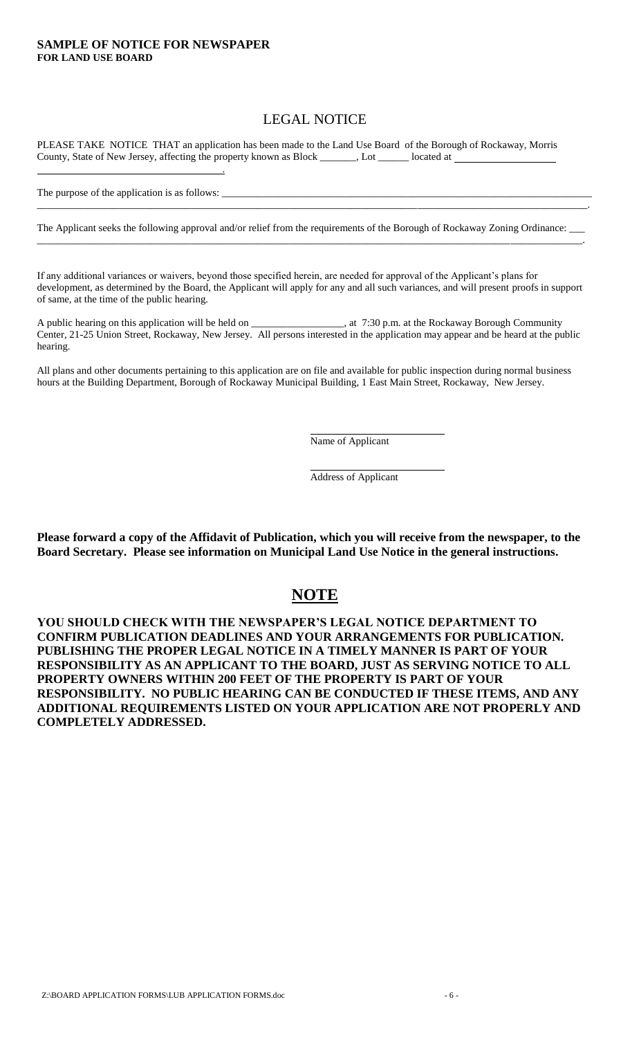#### **SAMPLE OF NOTICE FOR NEWSPAPER FOR LAND USE BOARD**

## LEGAL NOTICE

PLEASE TAKE NOTICE THAT an application has been made to the Land Use Board of the Borough of Rockaway, Morris County, State of New Jersey, affecting the property known as Block \_\_\_\_\_\_\_, Lot \_\_\_\_\_\_ located at

.

The purpose of the application is as follows:

The Applicant seeks the following approval and/or relief from the requirements of the Borough of Rockaway Zoning Ordinance: \_ \_\_\_\_\_\_\_\_\_\_\_\_\_\_\_\_\_\_\_\_\_\_\_\_\_\_\_\_\_\_\_\_\_\_\_\_\_\_\_\_\_\_\_\_\_\_\_\_\_\_\_\_\_\_\_\_\_\_\_\_\_\_\_\_\_\_\_\_\_\_\_\_\_\_\_\_\_\_\_\_\_\_\_\_\_\_\_\_\_\_\_\_\_\_\_\_\_\_\_\_\_\_\_\_\_\_.

\_\_\_\_\_\_\_\_\_\_\_\_\_\_\_\_\_\_\_\_\_\_\_\_\_\_\_\_\_\_\_\_\_\_\_\_\_\_\_\_\_\_\_\_\_\_\_\_\_\_\_\_\_\_\_\_\_\_\_\_\_\_\_\_\_\_\_\_\_\_\_\_\_\_\_\_\_\_\_\_\_\_\_\_\_\_\_\_\_\_\_\_\_\_\_\_\_\_\_\_\_\_\_\_\_\_\_.

If any additional variances or waivers, beyond those specified herein, are needed for approval of the Applicant's plans for development, as determined by the Board, the Applicant will apply for any and all such variances, and will present proofs in support of same, at the time of the public hearing.

A public hearing on this application will be held on \_\_\_\_\_\_\_\_\_\_\_\_\_\_\_\_\_\_, at 7:30 p.m. at the Rockaway Borough Community Center, 21-25 Union Street, Rockaway, New Jersey. All persons interested in the application may appear and be heard at the public hearing.

All plans and other documents pertaining to this application are on file and available for public inspection during normal business hours at the Building Department, Borough of Rockaway Municipal Building, 1 East Main Street, Rockaway, New Jersey.

Name of Applicant

Address of Applicant

**Please forward a copy of the Affidavit of Publication, which you will receive from the newspaper, to the Board Secretary. Please see information on Municipal Land Use Notice in the general instructions.**

# **NOTE**

**YOU SHOULD CHECK WITH THE NEWSPAPER'S LEGAL NOTICE DEPARTMENT TO CONFIRM PUBLICATION DEADLINES AND YOUR ARRANGEMENTS FOR PUBLICATION. PUBLISHING THE PROPER LEGAL NOTICE IN A TIMELY MANNER IS PART OF YOUR RESPONSIBILITY AS AN APPLICANT TO THE BOARD, JUST AS SERVING NOTICE TO ALL PROPERTY OWNERS WITHIN 200 FEET OF THE PROPERTY IS PART OF YOUR RESPONSIBILITY. NO PUBLIC HEARING CAN BE CONDUCTED IF THESE ITEMS, AND ANY ADDITIONAL REQUIREMENTS LISTED ON YOUR APPLICATION ARE NOT PROPERLY AND COMPLETELY ADDRESSED.**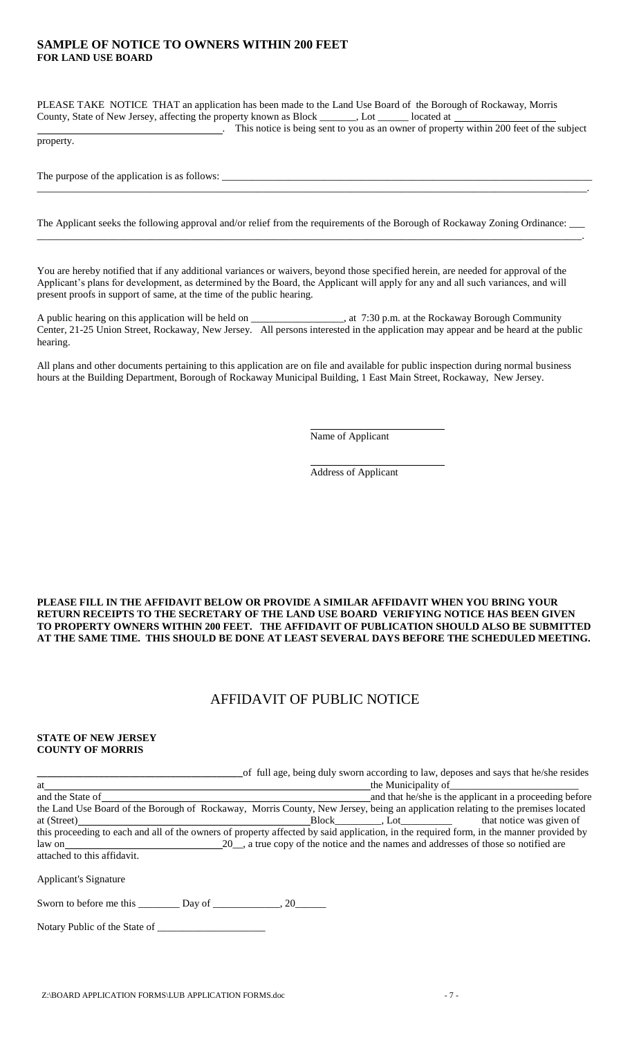#### **SAMPLE OF NOTICE TO OWNERS WITHIN 200 FEET FOR LAND USE BOARD**

PLEASE TAKE NOTICE THAT an application has been made to the Land Use Board of the Borough of Rockaway, Morris County, State of New Jersey, affecting the property known as Block \_\_\_\_\_\_\_, Lot \_\_\_\_\_\_ located at

. This notice is being sent to you as an owner of property within 200 feet of the subject

property.

The purpose of the application is as follows:

The Applicant seeks the following approval and/or relief from the requirements of the Borough of Rockaway Zoning Ordinance: \_\_\_\_\_\_\_\_\_\_\_\_\_\_\_\_\_\_\_\_\_\_\_\_\_\_\_\_\_\_\_\_\_\_\_\_\_\_\_\_\_\_\_\_\_\_\_\_\_\_\_\_\_\_\_\_\_\_\_\_\_\_\_\_\_\_\_\_\_\_\_\_\_\_\_\_\_\_\_\_\_\_\_\_\_\_\_\_\_\_\_\_\_\_\_\_\_\_\_\_\_\_\_\_\_\_.

\_\_\_\_\_\_\_\_\_\_\_\_\_\_\_\_\_\_\_\_\_\_\_\_\_\_\_\_\_\_\_\_\_\_\_\_\_\_\_\_\_\_\_\_\_\_\_\_\_\_\_\_\_\_\_\_\_\_\_\_\_\_\_\_\_\_\_\_\_\_\_\_\_\_\_\_\_\_\_\_\_\_\_\_\_\_\_\_\_\_\_\_\_\_\_\_\_\_\_\_\_\_\_\_\_\_\_.

You are hereby notified that if any additional variances or waivers, beyond those specified herein, are needed for approval of the Applicant's plans for development, as determined by the Board, the Applicant will apply for any and all such variances, and will present proofs in support of same, at the time of the public hearing.

A public hearing on this application will be held on \_\_\_\_\_\_\_\_\_\_\_\_\_\_\_\_\_, at 7:30 p.m. at the Rockaway Borough Community Center, 21-25 Union Street, Rockaway, New Jersey. All persons interested in the application may appear and be heard at the public hearing.

All plans and other documents pertaining to this application are on file and available for public inspection during normal business hours at the Building Department, Borough of Rockaway Municipal Building, 1 East Main Street, Rockaway, New Jersey.

Name of Applicant

Address of Applicant

**PLEASE FILL IN THE AFFIDAVIT BELOW OR PROVIDE A SIMILAR AFFIDAVIT WHEN YOU BRING YOUR RETURN RECEIPTS TO THE SECRETARY OF THE LAND USE BOARD VERIFYING NOTICE HAS BEEN GIVEN TO PROPERTY OWNERS WITHIN 200 FEET. THE AFFIDAVIT OF PUBLICATION SHOULD ALSO BE SUBMITTED AT THE SAME TIME. THIS SHOULD BE DONE AT LEAST SEVERAL DAYS BEFORE THE SCHEDULED MEETING.**

### AFFIDAVIT OF PUBLIC NOTICE

#### **STATE OF NEW JERSEY COUNTY OF MORRIS**

|                             | of full age, being duly sworn according to law, deposes and says that he/she resides                                                    |                                                         |
|-----------------------------|-----------------------------------------------------------------------------------------------------------------------------------------|---------------------------------------------------------|
| at                          |                                                                                                                                         |                                                         |
| and the State of            |                                                                                                                                         | and that he/she is the applicant in a proceeding before |
|                             | the Land Use Board of the Borough of Rockaway, Morris County, New Jersey, being an application relating to the premises located         |                                                         |
| at (Street)                 | Block __________, Lot _________________ that notice was given of                                                                        |                                                         |
|                             | this proceeding to each and all of the owners of property affected by said application, in the required form, in the manner provided by |                                                         |
|                             | law on 20, a true copy of the notice and the names and addresses of those so notified are                                               |                                                         |
| attached to this affidavit. |                                                                                                                                         |                                                         |
| Applicant's Signature       |                                                                                                                                         |                                                         |
|                             |                                                                                                                                         |                                                         |

Notary Public of the State of \_\_\_\_\_\_\_\_\_\_\_\_\_\_\_\_\_\_\_\_\_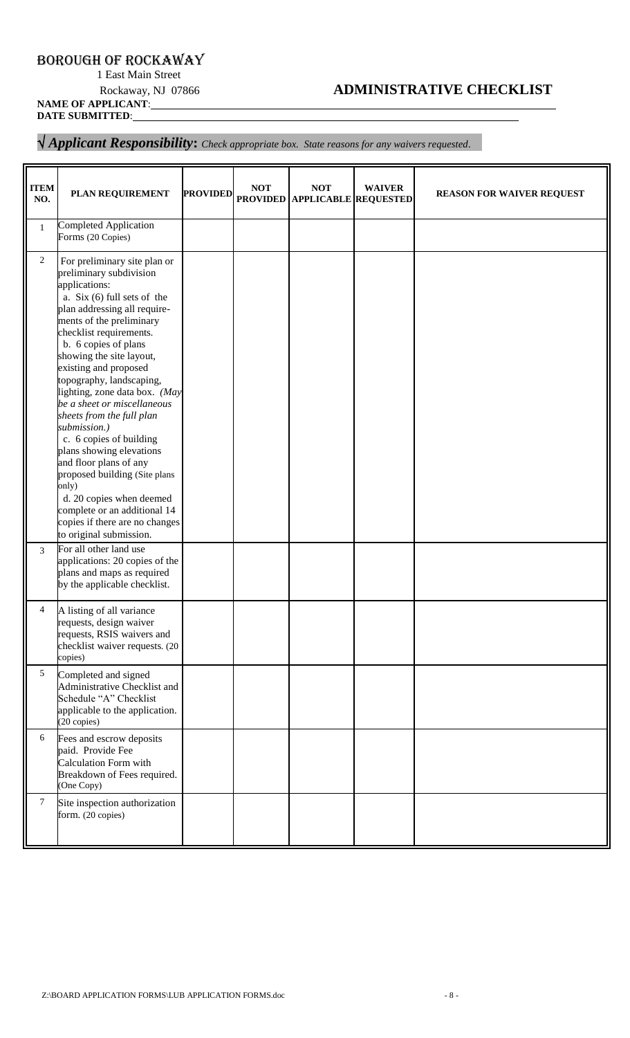## BOROUGH OF ROCKAWAY

1 East Main Street

# Rockaway, NJ 07866 **ADMINISTRATIVE CHECKLIST**

**NAME OF APPLICANT**: **DATE SUBMITTED**:

#### *Applicant Responsibility***:** *Check appropriate box. State reasons for any waivers requested*.

| <b>ITEM</b><br>NO. | PLAN REQUIREMENT                                                                                                                                                                                                                                                                                                                                                                                                                                                                                                                                                                                                                                                           | <b>PROVIDED</b> | <b>NOT</b><br><b>PROVIDED</b> | <b>NOT</b><br><b>APPLICABLE REQUESTED</b> | <b>WAIVER</b> | <b>REASON FOR WAIVER REQUEST</b> |
|--------------------|----------------------------------------------------------------------------------------------------------------------------------------------------------------------------------------------------------------------------------------------------------------------------------------------------------------------------------------------------------------------------------------------------------------------------------------------------------------------------------------------------------------------------------------------------------------------------------------------------------------------------------------------------------------------------|-----------------|-------------------------------|-------------------------------------------|---------------|----------------------------------|
| $\mathbf{1}$       | <b>Completed Application</b><br>Forms (20 Copies)                                                                                                                                                                                                                                                                                                                                                                                                                                                                                                                                                                                                                          |                 |                               |                                           |               |                                  |
| $\overline{c}$     | For preliminary site plan or<br>preliminary subdivision<br>applications:<br>a. Six $(6)$ full sets of the<br>plan addressing all require-<br>ments of the preliminary<br>checklist requirements.<br>b. 6 copies of plans<br>showing the site layout,<br>existing and proposed<br>topography, landscaping,<br>lighting, zone data box. (May<br>be a sheet or miscellaneous<br>sheets from the full plan<br>submission.)<br>c. 6 copies of building<br>plans showing elevations<br>and floor plans of any<br>proposed building (Site plans<br>only)<br>d. 20 copies when deemed<br>complete or an additional 14<br>copies if there are no changes<br>to original submission. |                 |                               |                                           |               |                                  |
| 3                  | For all other land use<br>applications: 20 copies of the<br>plans and maps as required<br>by the applicable checklist.                                                                                                                                                                                                                                                                                                                                                                                                                                                                                                                                                     |                 |                               |                                           |               |                                  |
| 4                  | A listing of all variance<br>requests, design waiver<br>requests, RSIS waivers and<br>checklist waiver requests. (20<br>copies)                                                                                                                                                                                                                                                                                                                                                                                                                                                                                                                                            |                 |                               |                                           |               |                                  |
| 5                  | Completed and signed<br>Administrative Checklist and<br>Schedule "A" Checklist<br>applicable to the application.<br>(20 copies)                                                                                                                                                                                                                                                                                                                                                                                                                                                                                                                                            |                 |                               |                                           |               |                                  |
| 6                  | Fees and escrow deposits<br>paid. Provide Fee<br><b>Calculation Form with</b><br>Breakdown of Fees required.<br>(One Copy)                                                                                                                                                                                                                                                                                                                                                                                                                                                                                                                                                 |                 |                               |                                           |               |                                  |
| 7                  | Site inspection authorization<br>form. (20 copies)                                                                                                                                                                                                                                                                                                                                                                                                                                                                                                                                                                                                                         |                 |                               |                                           |               |                                  |